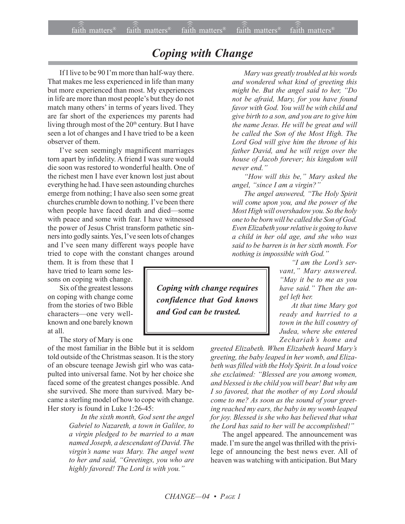## *Coping with Change*

If I live to be 90 I'm more than half-way there. That makes me less experienced in life than many but more experienced than most. My experiences in life are more than most people's but they do not match many others' in terms of years lived. They are far short of the experiences my parents had living through most of the  $20<sup>th</sup>$  century. But I have seen a lot of changes and I have tried to be a keen observer of them.

I've seen seemingly magnificent marriages torn apart by infidelity. A friend I was sure would die soon was restored to wonderful health. One of the richest men I have ever known lost just about everything he had. I have seen astounding churches emerge from nothing; I have also seen some great churches crumble down to nothing. I've been there when people have faced death and died—some with peace and some with fear. I have witnessed the power of Jesus Christ transform pathetic sinners into godly saints. Yes, I've seen lots of changes and I've seen many different ways people have tried to cope with the constant changes around

them. It is from these that I have tried to learn some lessons on coping with change.

Six of the greatest lessons on coping with change come from the stories of two Bible characters-one very wellknown and one barely known at all.

The story of Mary is one

of the most familiar in the Bible but it is seldom told outside of the Christmas season. It is the story of an obscure teenage Jewish girl who was catapulted into universal fame. Not by her choice she faced some of the greatest changes possible. And she survived. She more than survived. Mary became a sterling model of how to cope with change. Her story is found in Luke 1:26-45:

*In the sixth month, God sent the angel Gabriel to Nazareth, a town in Galilee, to a virgin pledged to be married to a man named Joseph, a descendant of David. The virginís name was Mary. The angel went* to her and said, "Greetings, you who are highly favored! The Lord is with you."

*Mary was greatly troubled at his words and wondered what kind of greeting this might be. But the angel said to her, "Do not be afraid, Mary, for you have found favor with God. You will be with child and give birth to a son, and you are to give him the name Jesus. He will be great and will be called the Son of the Most High. The Lord God will give him the throne of his father David, and he will reign over the house of Jacob forever; his kingdom will never end.*"

*ìHow will this be,î Mary asked the angel, "since I am a virgin?"* 

*The angel answered, "The Holy Spirit will come upon you, and the power of the Most High will overshadow you. So the holy one to be born will be called the Son of God. Even Elizabeth your relative is going to have a child in her old age, and she who was said to be barren is in her sixth month. For nothing is impossible with God.*"

*ìI am the Lordís servant,*" Mary answered. *ìMay it be to me as you* have said." Then the an*gel left her.*

*At that time Mary got ready and hurried to a town in the hill country of Judea, where she entered Zechariahís home and*

*greeted Elizabeth. When Elizabeth heard Maryís greeting, the baby leaped in her womb, and Elizabeth was filled with the Holy Spirit. In a loud voice she exclaimed: ìBlessed are you among women, and blessed is the child you will bear! But why am I so favored, that the mother of my Lord should come to me? As soon as the sound of your greeting reached my ears, the baby in my womb leaped for joy. Blessed is she who has believed that what* the Lord has said to her will be accomplished!"

The angel appeared. The announcement was made. I'm sure the angel was thrilled with the privilege of announcing the best news ever. All of heaven was watching with anticipation. But Mary

*Coping with change requires confidence that God knows and God can be trusted.*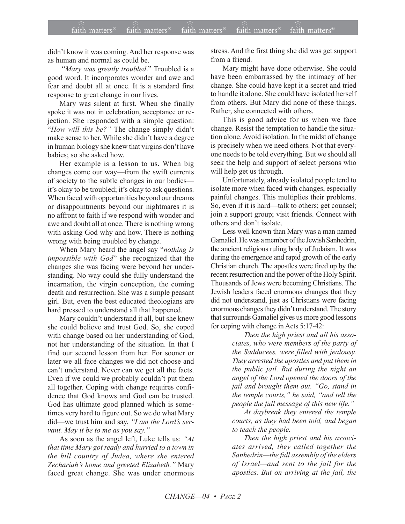didn't know it was coming. And her response was as human and normal as could be.

*<sup>"</sup>Mary was greatly troubled.*" Troubled is a good word. It incorporates wonder and awe and fear and doubt all at once. It is a standard first response to great change in our lives.

Mary was silent at first. When she finally spoke it was not in celebration, acceptance or rejection. She responded with a simple question: <sup>"</sup>How will this be?" The change simply didn't make sense to her. While she didn't have a degree in human biology she knew that virgins don't have babies; so she asked how.

Her example is a lesson to us. When big changes come our way—from the swift currents of society to the subtle changes in our bodies it's okay to be troubled; it's okay to ask questions. When faced with opportunities beyond our dreams or disappointments beyond our nightmares it is no affront to faith if we respond with wonder and awe and doubt all at once. There is nothing wrong with asking God why and how. There is nothing wrong with being troubled by change.

When Mary heard the angel say "nothing is *impossible with God*" she recognized that the changes she was facing were beyond her understanding. No way could she fully understand the incarnation, the virgin conception, the coming death and resurrection. She was a simple peasant girl. But, even the best educated theologians are hard pressed to understand all that happened.

Mary couldn't understand it all, but she knew she could believe and trust God. So, she coped with change based on her understanding of God, not her understanding of the situation. In that I find our second lesson from her. For sooner or later we all face changes we did not choose and can't understand. Never can we get all the facts. Even if we could we probably couldn't put them all together. Coping with change requires confidence that God knows and God can be trusted. God has ultimate good planned which is sometimes very hard to figure out. So we do what Mary did-we trust him and say, "I am the Lord's servant. May it be to me as you say."

As soon as the angel left, Luke tells us: "At *that time Mary got ready and hurried to a town in the hill country of Judea, where she entered* Zechariah's home and greeted Elizabeth." Mary faced great change. She was under enormous stress. And the first thing she did was get support from a friend.

Mary might have done otherwise. She could have been embarrassed by the intimacy of her change. She could have kept it a secret and tried to handle it alone. She could have isolated herself from others. But Mary did none of these things. Rather, she connected with others.

This is good advice for us when we face change. Resist the temptation to handle the situation alone. Avoid isolation. In the midst of change is precisely when we need others. Not that everyone needs to be told everything. But we should all seek the help and support of select persons who will help get us through.

Unfortunately, already isolated people tend to isolate more when faced with changes, especially painful changes. This multiplies their problems. So, even if it is hard—talk to others; get counsel; join a support group; visit friends. Connect with others and don't isolate.

Less well known than Mary was a man named Gamaliel. He was a member of the Jewish Sanhedrin, the ancient religious ruling body of Judaism. It was during the emergence and rapid growth of the early Christian church. The apostles were fired up by the recent resurrection and the power of the Holy Spirit. Thousands of Jews were becoming Christians. The Jewish leaders faced enormous changes that they did not understand, just as Christians were facing enormous changes they didn't understand. The story that surrounds Gamaliel gives us more good lessons for coping with change in Acts 5:17-42:

> *Then the high priest and all his associates, who were members of the party of the Sadducees, were filled with jealousy. They arrested the apostles and put them in the public jail. But during the night an angel of the Lord opened the doors of the jail and brought them out. "Go, stand in the temple courts," he said, "and tell the people the full message of this new life.î*

> *At daybreak they entered the temple courts, as they had been told, and began to teach the people.*

> *Then the high priest and his associates arrived, they called together the Sanhedrin—the full assembly of the elders* of Israel—and sent to the jail for the *apostles. But on arriving at the jail, the*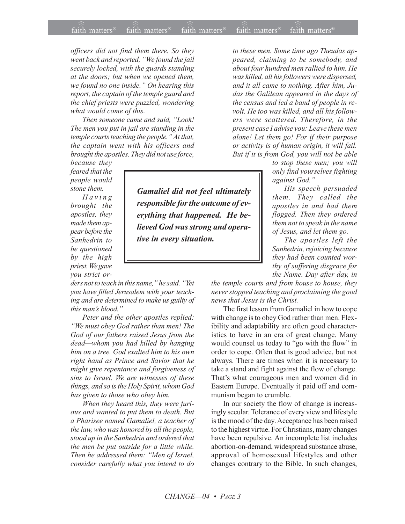## $\widehat{\widehat{\mathfrak{tair}}}$  matters  $^{\circ}$  faith matters faith matters  $^{\circ}$  faith matters faith matters  $^{\circ}$ faith matters<sup>®</sup> faith matters<sup>®</sup> faith matters<sup>®</sup>

*officers did not find them there. So they* went back and reported, "We found the jail *securely locked, with the guards standing at the doors; but when we opened them,* we found no one inside." On hearing this *report, the captain of the temple guard and the chief priests were puzzled, wondering what would come of this.*

Then someone came and said, "Look! *The men you put in jail are standing in the temple courts teaching the people." At that, the captain went with his officers and brought the apostles. They did not use force,*

*because they feared that the people would stone them.*

*Having brought the apostles, they made them appear before the Sanhedrin to be questioned by the high priest. We gave you strict or-*

*Gamaliel did not feel ultimately responsible for the outcome of everything that happened. He believed God was strong and operative in every situation.*

ders not to teach in this name," he said. "Yet *you have filled Jerusalem with your teaching and are determined to make us guilty of* this man's blood.<sup>"</sup>

*Peter and the other apostles replied: ìWe must obey God rather than men! The God of our fathers raised Jesus from the dead—whom you had killed by hanging him on a tree. God exalted him to his own right hand as Prince and Savior that he might give repentance and forgiveness of sins to Israel. We are witnesses of these things, and so is the Holy Spirit, whom God has given to those who obey him.*

*When they heard this, they were furious and wanted to put them to death. But a Pharisee named Gamaliel, a teacher of the law, who was honored by all the people, stood up in the Sanhedrin and ordered that the men be put outside for a little while. Then he addressed them: "Men of Israel, consider carefully what you intend to do*

*to these men. Some time ago Theudas appeared, claiming to be somebody, and about four hundred men rallied to him. He was killed, all his followers were dispersed, and it all came to nothing. After him, Judas the Galilean appeared in the days of the census and led a band of people in revolt. He too was killed, and all his followers were scattered. Therefore, in the present case I advise you: Leave these men alone! Let them go! For if their purpose or activity is of human origin, it will fail. But if it is from God, you will not be able*

> *to stop these men; you will only find yourselves fighting* against God."

> *His speech persuaded them. They called the apostles in and had them flogged. Then they ordered them not to speak in the name of Jesus, and let them go.*

*The apostles left the Sanhedrin, rejoicing because they had been counted worthy of suffering disgrace for the Name. Day after day, in*

*the temple courts and from house to house, they never stopped teaching and proclaiming the good news that Jesus is the Christ.*

The first lesson from Gamaliel in how to cope with change is to obey God rather than men. Flexibility and adaptability are often good characteristics to have in an era of great change. Many would counsel us today to "go with the flow" in order to cope. Often that is good advice, but not always. There are times when it is necessary to take a stand and fight against the flow of change. That's what courageous men and women did in Eastern Europe. Eventually it paid off and communism began to crumble.

In our society the flow of change is increasingly secular. Tolerance of every view and lifestyle is the mood of the day. Acceptance has been raised to the highest virtue. For Christians, many changes have been repulsive. An incomplete list includes abortion-on-demand, widespread substance abuse, approval of homosexual lifestyles and other changes contrary to the Bible. In such changes,